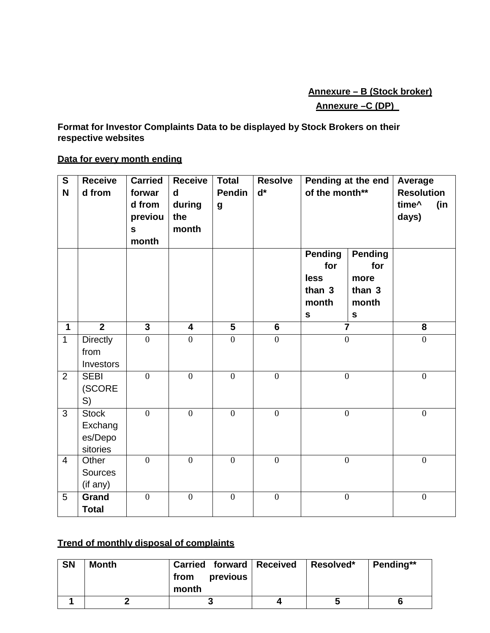## **Annexure – B (Stock broker) Annexure –C (DP)**

#### **Format for Investor Complaints Data to be displayed by Stock Brokers on their respective websites**

## **Data for every month ending**

| $\mathbf{s}$<br>N | <b>Receive</b><br>d from                       | <b>Carried</b><br>forwar<br>d from<br>previou<br>$\mathbf S$<br>month | <b>Receive</b><br>d<br>during<br>the<br>month | <b>Total</b><br><b>Pendin</b><br>$\boldsymbol{g}$ | <b>Resolve</b><br>$\mathbf{d}^*$ | Pending at the end<br>of the month**                            |                                                               | Average<br><b>Resolution</b><br>time^<br>(in<br>days) |
|-------------------|------------------------------------------------|-----------------------------------------------------------------------|-----------------------------------------------|---------------------------------------------------|----------------------------------|-----------------------------------------------------------------|---------------------------------------------------------------|-------------------------------------------------------|
|                   |                                                |                                                                       |                                               |                                                   |                                  | <b>Pending</b><br>for<br>less<br>than 3<br>month<br>$\mathbf s$ | <b>Pending</b><br>for<br>more<br>than 3<br>month<br>${\bf S}$ |                                                       |
| $\mathbf{1}$      | $\overline{2}$                                 | $\overline{3}$                                                        | $\overline{\mathbf{4}}$                       | $\overline{\mathbf{5}}$                           | $6\phantom{1}$                   | $\overline{\mathbf{7}}$                                         |                                                               | 8                                                     |
| $\mathbf{1}$      | <b>Directly</b><br>from<br>Investors           | $\mathbf{0}$                                                          | $\overline{0}$                                | $\mathbf{0}$                                      | $\mathbf{0}$                     | $\overline{0}$                                                  |                                                               | $\overline{0}$                                        |
| $\overline{2}$    | <b>SEBI</b><br>(SCORE<br>S)                    | $\mathbf{0}$                                                          | $\boldsymbol{0}$                              | $\mathbf{0}$                                      | $\mathbf{0}$                     | $\boldsymbol{0}$                                                |                                                               | $\boldsymbol{0}$                                      |
| 3                 | <b>Stock</b><br>Exchang<br>es/Depo<br>sitories | $\overline{0}$                                                        | $\overline{0}$                                | $\overline{0}$                                    | $\overline{0}$                   | $\mathbf{0}$                                                    |                                                               | $\overline{0}$                                        |
| $\overline{4}$    | Other<br><b>Sources</b><br>(if any)            | $\overline{0}$                                                        | $\overline{0}$                                | $\overline{0}$                                    | $\overline{0}$                   | $\mathbf{0}$                                                    |                                                               | $\overline{0}$                                        |
| 5                 | Grand<br><b>Total</b>                          | $\mathbf{0}$                                                          | $\mathbf{0}$                                  | $\mathbf{0}$                                      | $\mathbf{0}$                     | $\mathbf{0}$                                                    |                                                               | $\overline{0}$                                        |

# **Trend of monthly disposal of complaints**

| <b>SN</b> | <b>Month</b> | Carried forward   Received<br>previous<br>from<br>month | Resolved* | Pending** |
|-----------|--------------|---------------------------------------------------------|-----------|-----------|
|           |              |                                                         |           |           |